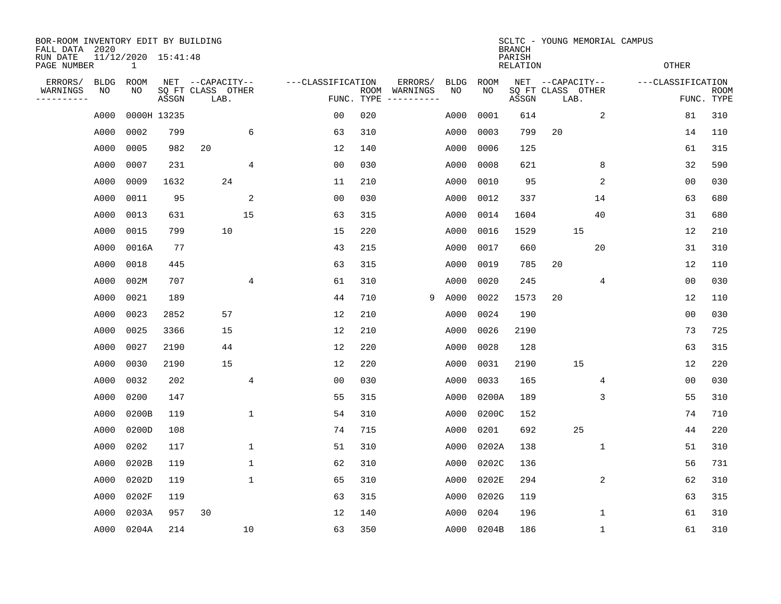| BOR-ROOM INVENTORY EDIT BY BUILDING<br>FALL DATA 2020 |                                     |       |             |                           |                |                   |                    |                        |             |             | <b>BRANCH</b>             | SCLTC - YOUNG MEMORIAL CAMPUS |              |                   |                |                           |  |
|-------------------------------------------------------|-------------------------------------|-------|-------------|---------------------------|----------------|-------------------|--------------------|------------------------|-------------|-------------|---------------------------|-------------------------------|--------------|-------------------|----------------|---------------------------|--|
| RUN DATE<br>PAGE NUMBER                               | 11/12/2020 15:41:48<br>$\mathbf{1}$ |       |             |                           |                |                   |                    |                        |             |             | PARISH<br><b>RELATION</b> |                               |              |                   | <b>OTHER</b>   |                           |  |
| ERRORS/                                               | <b>BLDG</b>                         | ROOM  |             | NET --CAPACITY--          |                | ---CLASSIFICATION |                    | ERRORS/                | <b>BLDG</b> | <b>ROOM</b> |                           | NET --CAPACITY--              |              | ---CLASSIFICATION |                |                           |  |
| WARNINGS<br>.                                         | NO                                  | NO    | ASSGN       | SQ FT CLASS OTHER<br>LAB. |                |                   | ROOM<br>FUNC. TYPE | WARNINGS<br>---------- | NO          | NO          | ASSGN                     | SQ FT CLASS OTHER<br>LAB.     |              |                   |                | <b>ROOM</b><br>FUNC. TYPE |  |
|                                                       | A000                                |       | 0000H 13235 |                           |                | 00                | 020                |                        | A000        | 0001        | 614                       |                               | 2            |                   | 81             | 310                       |  |
|                                                       | A000                                | 0002  | 799         |                           | 6              | 63                | 310                |                        | A000        | 0003        | 799                       | 20                            |              |                   | 14             | 110                       |  |
|                                                       | A000                                | 0005  | 982         | 20                        |                | 12                | 140                |                        | A000        | 0006        | 125                       |                               |              |                   | 61             | 315                       |  |
|                                                       | A000                                | 0007  | 231         |                           | 4              | 0 <sub>0</sub>    | 030                |                        | A000        | 0008        | 621                       |                               | 8            |                   | 32             | 590                       |  |
|                                                       | A000                                | 0009  | 1632        | 24                        |                | 11                | 210                |                        | A000        | 0010        | 95                        |                               | 2            |                   | 0 <sub>0</sub> | 030                       |  |
|                                                       | A000                                | 0011  | 95          |                           | $\overline{2}$ | 0 <sub>0</sub>    | 030                |                        | A000        | 0012        | 337                       |                               | 14           |                   | 63             | 680                       |  |
|                                                       | A000                                | 0013  | 631         |                           | 15             | 63                | 315                |                        | A000        | 0014        | 1604                      |                               | 40           |                   | 31             | 680                       |  |
|                                                       | A000                                | 0015  | 799         | 10                        |                | 15                | 220                |                        | A000        | 0016        | 1529                      | 15                            |              |                   | 12             | 210                       |  |
|                                                       | A000                                | 0016A | 77          |                           |                | 43                | 215                |                        | A000        | 0017        | 660                       |                               | 20           |                   | 31             | 310                       |  |
|                                                       | A000                                | 0018  | 445         |                           |                | 63                | 315                |                        | A000        | 0019        | 785                       | 20                            |              |                   | 12             | 110                       |  |
|                                                       | A000                                | 002M  | 707         |                           | 4              | 61                | 310                |                        | A000        | 0020        | 245                       |                               | 4            |                   | 0 <sub>0</sub> | 030                       |  |
|                                                       | A000                                | 0021  | 189         |                           |                | 44                | 710                | 9                      | A000        | 0022        | 1573                      | 20                            |              |                   | 12             | 110                       |  |
|                                                       | A000                                | 0023  | 2852        | 57                        |                | 12                | 210                |                        | A000        | 0024        | 190                       |                               |              |                   | 0 <sub>0</sub> | 030                       |  |
|                                                       | A000                                | 0025  | 3366        | 15                        |                | 12                | 210                |                        | A000        | 0026        | 2190                      |                               |              |                   | 73             | 725                       |  |
|                                                       | A000                                | 0027  | 2190        | 44                        |                | 12                | 220                |                        | A000        | 0028        | 128                       |                               |              |                   | 63             | 315                       |  |
|                                                       | A000                                | 0030  | 2190        | 15                        |                | 12                | 220                |                        | A000        | 0031        | 2190                      | 15                            |              |                   | 12             | 220                       |  |
|                                                       | A000                                | 0032  | 202         |                           | 4              | 0 <sub>0</sub>    | 030                |                        | A000        | 0033        | 165                       |                               | 4            |                   | 0 <sub>0</sub> | 030                       |  |
|                                                       | A000                                | 0200  | 147         |                           |                | 55                | 315                |                        | A000        | 0200A       | 189                       |                               | 3            |                   | 55             | 310                       |  |
|                                                       | A000                                | 0200B | 119         |                           | 1              | 54                | 310                |                        | A000        | 0200C       | 152                       |                               |              |                   | 74             | 710                       |  |
|                                                       | A000                                | 0200D | 108         |                           |                | 74                | 715                |                        | A000        | 0201        | 692                       | 25                            |              |                   | 44             | 220                       |  |
|                                                       | A000                                | 0202  | 117         |                           | 1              | 51                | 310                |                        | A000        | 0202A       | 138                       |                               | 1            |                   | 51             | 310                       |  |
|                                                       | A000                                | 0202B | 119         |                           | 1              | 62                | 310                |                        | A000        | 0202C       | 136                       |                               |              |                   | 56             | 731                       |  |
|                                                       | A000                                | 0202D | 119         |                           | 1              | 65                | 310                |                        | A000        | 0202E       | 294                       |                               | 2            |                   | 62             | 310                       |  |
|                                                       | A000                                | 0202F | 119         |                           |                | 63                | 315                |                        | A000        | 0202G       | 119                       |                               |              |                   | 63             | 315                       |  |
|                                                       | A000                                | 0203A | 957         | 30                        |                | 12                | 140                |                        | A000        | 0204        | 196                       |                               | $\mathbf{1}$ |                   | 61             | 310                       |  |
|                                                       | A000                                | 0204A | 214         |                           | 10             | 63                | 350                |                        | A000        | 0204B       | 186                       |                               | $\mathbf 1$  |                   | 61             | 310                       |  |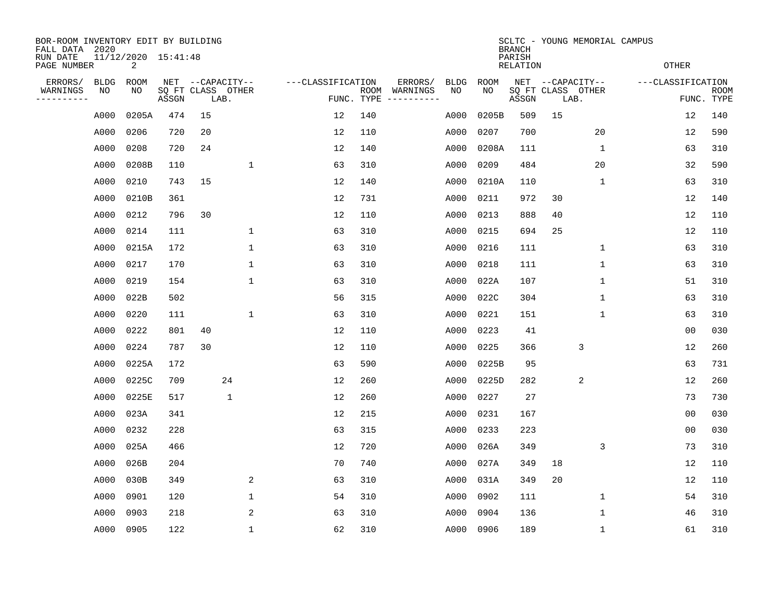| BOR-ROOM INVENTORY EDIT BY BUILDING<br>FALL DATA 2020 |                                                                  |            |       |    |                                               |                   |                    |                                                                                                                        |                   |            | <b>BRANCH</b><br>PARISH |    | SCLTC - YOUNG MEMORIAL CAMPUS                 |                   |                           |
|-------------------------------------------------------|------------------------------------------------------------------|------------|-------|----|-----------------------------------------------|-------------------|--------------------|------------------------------------------------------------------------------------------------------------------------|-------------------|------------|-------------------------|----|-----------------------------------------------|-------------------|---------------------------|
|                                                       | 11/12/2020 15:41:48<br>RUN DATE<br>$\overline{2}$<br>PAGE NUMBER |            |       |    |                                               |                   |                    |                                                                                                                        | <b>OTHER</b>      |            |                         |    |                                               |                   |                           |
| ERRORS/<br>WARNINGS<br>--------                       | <b>BLDG</b><br>NO                                                | ROOM<br>NO | ASSGN |    | NET --CAPACITY--<br>SQ FT CLASS OTHER<br>LAB. | ---CLASSIFICATION | ROOM<br>FUNC. TYPE | ERRORS/<br>WARNINGS<br>$\begin{tabular}{cccccc} - & - & - & - & - & - & - \\ & - & - & - & - & - & - \\ \end{tabular}$ | <b>BLDG</b><br>NO | ROOM<br>NO | ASSGN                   |    | NET --CAPACITY--<br>SQ FT CLASS OTHER<br>LAB. | ---CLASSIFICATION | <b>ROOM</b><br>FUNC. TYPE |
|                                                       | A000                                                             | 0205A      | 474   | 15 |                                               | $12 \overline{ }$ | 140                |                                                                                                                        | A000              | 0205B      | 509                     | 15 |                                               | 12                | 140                       |
|                                                       | A000                                                             | 0206       | 720   | 20 |                                               | 12                | 110                |                                                                                                                        | A000              | 0207       | 700                     |    | 20                                            | 12                | 590                       |
|                                                       | A000                                                             | 0208       | 720   | 24 |                                               | 12                | 140                |                                                                                                                        | A000              | 0208A      | 111                     |    | $\mathbf{1}$                                  | 63                | 310                       |
|                                                       | A000                                                             | 0208B      | 110   |    | $\mathbf{1}$                                  | 63                | 310                |                                                                                                                        | A000              | 0209       | 484                     |    | 20                                            | 32                | 590                       |
|                                                       | A000                                                             | 0210       | 743   | 15 |                                               | 12                | 140                |                                                                                                                        | A000              | 0210A      | 110                     |    | 1                                             | 63                | 310                       |
|                                                       | A000                                                             | 0210B      | 361   |    |                                               | 12                | 731                |                                                                                                                        | A000              | 0211       | 972                     | 30 |                                               | 12                | 140                       |
|                                                       | A000                                                             | 0212       | 796   | 30 |                                               | 12                | 110                |                                                                                                                        | A000              | 0213       | 888                     | 40 |                                               | 12                | 110                       |
|                                                       | A000                                                             | 0214       | 111   |    | 1                                             | 63                | 310                |                                                                                                                        | A000              | 0215       | 694                     | 25 |                                               | 12                | 110                       |
|                                                       | A000                                                             | 0215A      | 172   |    | $\mathbf 1$                                   | 63                | 310                |                                                                                                                        | A000              | 0216       | 111                     |    | $\mathbf 1$                                   | 63                | 310                       |
|                                                       | A000                                                             | 0217       | 170   |    | 1                                             | 63                | 310                |                                                                                                                        | A000              | 0218       | 111                     |    | $\mathbf 1$                                   | 63                | 310                       |
|                                                       | A000                                                             | 0219       | 154   |    | $\mathbf{1}$                                  | 63                | 310                |                                                                                                                        | A000              | 022A       | 107                     |    | 1                                             | 51                | 310                       |
|                                                       | A000                                                             | 022B       | 502   |    |                                               | 56                | 315                |                                                                                                                        | A000              | 022C       | 304                     |    | 1                                             | 63                | 310                       |
|                                                       | A000                                                             | 0220       | 111   |    | 1                                             | 63                | 310                |                                                                                                                        | A000              | 0221       | 151                     |    | 1                                             | 63                | 310                       |
|                                                       | A000                                                             | 0222       | 801   | 40 |                                               | 12                | 110                |                                                                                                                        | A000              | 0223       | 41                      |    |                                               | 0 <sub>0</sub>    | 030                       |
|                                                       | A000                                                             | 0224       | 787   | 30 |                                               | 12                | 110                |                                                                                                                        | A000              | 0225       | 366                     |    | 3                                             | 12                | 260                       |
|                                                       | A000                                                             | 0225A      | 172   |    |                                               | 63                | 590                |                                                                                                                        | A000              | 0225B      | 95                      |    |                                               | 63                | 731                       |
|                                                       | A000                                                             | 0225C      | 709   |    | 24                                            | 12                | 260                |                                                                                                                        | A000              | 0225D      | 282                     |    | $\overline{2}$                                | 12                | 260                       |
|                                                       | A000                                                             | 0225E      | 517   |    | $\mathbf 1$                                   | 12                | 260                |                                                                                                                        | A000              | 0227       | 27                      |    |                                               | 73                | 730                       |
|                                                       | A000                                                             | 023A       | 341   |    |                                               | 12                | 215                |                                                                                                                        | A000              | 0231       | 167                     |    |                                               | 0 <sub>0</sub>    | 030                       |
|                                                       | A000                                                             | 0232       | 228   |    |                                               | 63                | 315                |                                                                                                                        | A000              | 0233       | 223                     |    |                                               | 0 <sub>0</sub>    | 030                       |
|                                                       | A000                                                             | 025A       | 466   |    |                                               | 12                | 720                |                                                                                                                        | A000              | 026A       | 349                     |    | 3                                             | 73                | 310                       |
|                                                       | A000                                                             | 026B       | 204   |    |                                               | 70                | 740                |                                                                                                                        | A000              | 027A       | 349                     | 18 |                                               | 12                | 110                       |
|                                                       | A000                                                             | 030B       | 349   |    | 2                                             | 63                | 310                |                                                                                                                        | A000              | 031A       | 349                     | 20 |                                               | 12                | 110                       |
|                                                       | A000                                                             | 0901       | 120   |    | $\mathbf 1$                                   | 54                | 310                |                                                                                                                        | A000              | 0902       | 111                     |    | $\mathbf 1$                                   | 54                | 310                       |
|                                                       | A000                                                             | 0903       | 218   |    | 2                                             | 63                | 310                |                                                                                                                        | A000              | 0904       | 136                     |    | 1                                             | 46                | 310                       |
|                                                       | A000                                                             | 0905       | 122   |    | $\mathbf{1}$                                  | 62                | 310                |                                                                                                                        |                   | A000 0906  | 189                     |    | 1                                             | 61                | 310                       |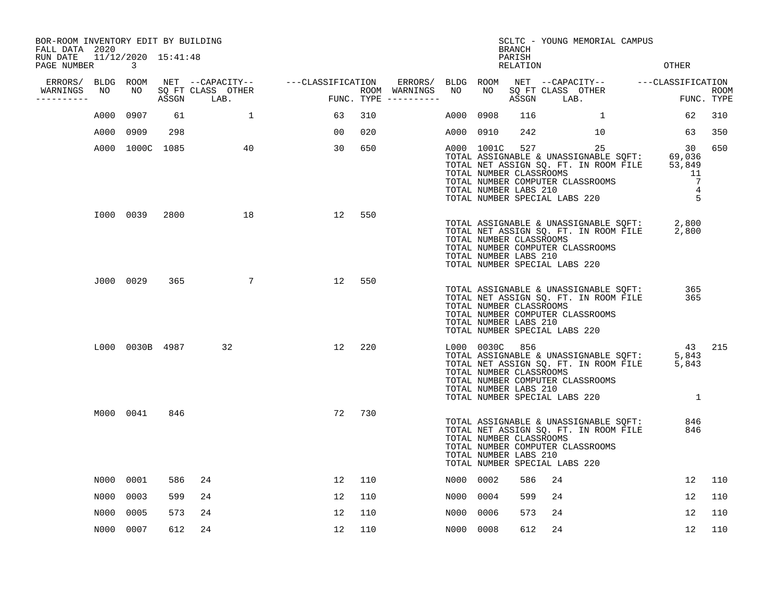| PAGE NUMBER            | $\mathbf{3}$         |                                                                             |                              |                                                                                                                                   |            |                                          |               |                           |                                                                                          |                                           | OTHER                                                                                                                                                                                                                                                                                                                                                                                                                                                                                                                                                                                                                                                |                                                                                                                                                                                                                                                                                                                                                                                                                                                                                                                                                          |
|------------------------|----------------------|-----------------------------------------------------------------------------|------------------------------|-----------------------------------------------------------------------------------------------------------------------------------|------------|------------------------------------------|---------------|---------------------------|------------------------------------------------------------------------------------------|-------------------------------------------|------------------------------------------------------------------------------------------------------------------------------------------------------------------------------------------------------------------------------------------------------------------------------------------------------------------------------------------------------------------------------------------------------------------------------------------------------------------------------------------------------------------------------------------------------------------------------------------------------------------------------------------------------|----------------------------------------------------------------------------------------------------------------------------------------------------------------------------------------------------------------------------------------------------------------------------------------------------------------------------------------------------------------------------------------------------------------------------------------------------------------------------------------------------------------------------------------------------------|
|                        |                      |                                                                             |                              |                                                                                                                                   |            |                                          |               |                           |                                                                                          |                                           |                                                                                                                                                                                                                                                                                                                                                                                                                                                                                                                                                                                                                                                      |                                                                                                                                                                                                                                                                                                                                                                                                                                                                                                                                                          |
| WARNINGS<br>---------- |                      |                                                                             |                              |                                                                                                                                   |            |                                          |               |                           |                                                                                          | LAB.                                      |                                                                                                                                                                                                                                                                                                                                                                                                                                                                                                                                                                                                                                                      | <b>ROOM</b><br>FUNC. TYPE                                                                                                                                                                                                                                                                                                                                                                                                                                                                                                                                |
| A000                   | 0907                 | 61                                                                          | $\mathbf{1}$                 | 63                                                                                                                                | 310        |                                          |               | 0908                      | 116                                                                                      | 1                                         | 62                                                                                                                                                                                                                                                                                                                                                                                                                                                                                                                                                                                                                                                   | 310                                                                                                                                                                                                                                                                                                                                                                                                                                                                                                                                                      |
| A000                   | 0909                 | 298                                                                         |                              | 00                                                                                                                                | 020        |                                          |               |                           | 242                                                                                      | 10                                        | 63                                                                                                                                                                                                                                                                                                                                                                                                                                                                                                                                                                                                                                                   | 350                                                                                                                                                                                                                                                                                                                                                                                                                                                                                                                                                      |
|                        |                      |                                                                             | 40                           | 30                                                                                                                                | 650        |                                          |               |                           |                                                                                          | 25                                        | 30<br>11<br>7<br>$\overline{4}$<br>5                                                                                                                                                                                                                                                                                                                                                                                                                                                                                                                                                                                                                 | 650                                                                                                                                                                                                                                                                                                                                                                                                                                                                                                                                                      |
|                        |                      |                                                                             | 18                           |                                                                                                                                   | 550        |                                          |               |                           |                                                                                          |                                           |                                                                                                                                                                                                                                                                                                                                                                                                                                                                                                                                                                                                                                                      |                                                                                                                                                                                                                                                                                                                                                                                                                                                                                                                                                          |
|                        |                      | 365                                                                         | $\overline{7}$               | 12                                                                                                                                | 550        |                                          |               |                           |                                                                                          |                                           | 365<br>365                                                                                                                                                                                                                                                                                                                                                                                                                                                                                                                                                                                                                                           |                                                                                                                                                                                                                                                                                                                                                                                                                                                                                                                                                          |
|                        |                      |                                                                             | 32                           | 12                                                                                                                                | 220        |                                          |               |                           |                                                                                          |                                           | 43<br>5,843<br>5,843<br>1                                                                                                                                                                                                                                                                                                                                                                                                                                                                                                                                                                                                                            | 215                                                                                                                                                                                                                                                                                                                                                                                                                                                                                                                                                      |
|                        |                      | 846                                                                         |                              | 72                                                                                                                                | 730        |                                          |               |                           |                                                                                          |                                           | 846<br>846                                                                                                                                                                                                                                                                                                                                                                                                                                                                                                                                                                                                                                           |                                                                                                                                                                                                                                                                                                                                                                                                                                                                                                                                                          |
|                        |                      | 586                                                                         | 24                           | 12                                                                                                                                | 110        |                                          |               |                           | 586                                                                                      | 24                                        | 12                                                                                                                                                                                                                                                                                                                                                                                                                                                                                                                                                                                                                                                   | 110                                                                                                                                                                                                                                                                                                                                                                                                                                                                                                                                                      |
| N000                   | 0003                 | 599                                                                         | 24                           | 12                                                                                                                                | 110        |                                          |               | 0004                      | 599                                                                                      | 24                                        | 12                                                                                                                                                                                                                                                                                                                                                                                                                                                                                                                                                                                                                                                   | 110                                                                                                                                                                                                                                                                                                                                                                                                                                                                                                                                                      |
| N000                   | 0005                 | 573                                                                         | 24                           | 12                                                                                                                                | 110        |                                          |               | 0006                      | 573                                                                                      | 24                                        | 12                                                                                                                                                                                                                                                                                                                                                                                                                                                                                                                                                                                                                                                   | 110                                                                                                                                                                                                                                                                                                                                                                                                                                                                                                                                                      |
|                        |                      | 612                                                                         | 24                           | 12                                                                                                                                | 110        |                                          |               |                           | 612                                                                                      | 24                                        | 12                                                                                                                                                                                                                                                                                                                                                                                                                                                                                                                                                                                                                                                   | 110                                                                                                                                                                                                                                                                                                                                                                                                                                                                                                                                                      |
|                        | FALL DATA 2020<br>NO | ERRORS/ BLDG ROOM<br>NO<br>J000 0029<br>M000 0041<br>N000 0001<br>N000 0007 | A000 1000C 1085<br>I000 0039 | BOR-ROOM INVENTORY EDIT BY BUILDING<br>RUN DATE 11/12/2020 15:41:48<br>SO FT CLASS OTHER<br>ASSGN LAB.<br>2800<br>L000 0030B 4987 | <b>FUN</b> | NET --CAPACITY-- ---CLASSIFICATION<br>12 | ROOM WARNINGS | NO<br>FUNC. TYPE $------$ | ERRORS/ BLDG ROOM<br>NO .<br>A000<br>A000 0910<br>N000 0002<br>N000<br>N000<br>NO00 0008 | <b>BRANCH</b><br>PARISH<br>L000 0030C 856 | RELATION<br>SQ FT CLASS OTHER<br>ASSGN<br>A000 1001C 527<br>TOTAL NUMBER CLASSROOMS<br>TOTAL NUMBER COMPUTER CLASSROOMS<br>TOTAL NUMBER LABS 210<br>TOTAL NUMBER CLASSROOMS<br>TOTAL NUMBER COMPUTER CLASSROOMS<br>TOTAL NUMBER LABS 210<br>TOTAL NUMBER SPECIAL LABS 220<br>TOTAL NUMBER CLASSROOMS<br>TOTAL NUMBER COMPUTER CLASSROOMS<br>TOTAL NUMBER LABS 210<br>TOTAL NUMBER SPECIAL LABS 220<br>TOTAL NUMBER CLASSROOMS<br>TOTAL NUMBER COMPUTER CLASSROOMS<br>TOTAL NUMBER LABS 210<br>TOTAL NUMBER SPECIAL LABS 220<br>TOTAL NUMBER CLASSROOMS<br>TOTAL NUMBER COMPUTER CLASSROOMS<br>TOTAL NUMBER LABS 210<br>TOTAL NUMBER SPECIAL LABS 220 | SCLTC - YOUNG MEMORIAL CAMPUS<br>NET --CAPACITY-- ---CLASSIFICATION<br>TOTAL ASSIGNABLE & UNASSIGNABLE SQFT: 69,036<br>TOTAL NET ASSIGN SQ. FT. IN ROOM FILE 53,849<br>TOTAL NUMBER SPECIAL LABS 220<br>TOTAL ASSIGNABLE & UNASSIGNABLE SQFT: 2,800<br>TOTAL NET ASSIGN SQ. FT. IN ROOM FILE 2,800<br>TOTAL ASSIGNABLE & UNASSIGNABLE SQFT:<br>TOTAL NET ASSIGN SQ. FT. IN ROOM FILE<br>TOTAL ASSIGNABLE & UNASSIGNABLE SQFT:<br>TOTAL NET ASSIGN SQ. FT. IN ROOM FILE<br>TOTAL ASSIGNABLE & UNASSIGNABLE SQFT:<br>TOTAL NET ASSIGN SQ. FT. IN ROOM FILE |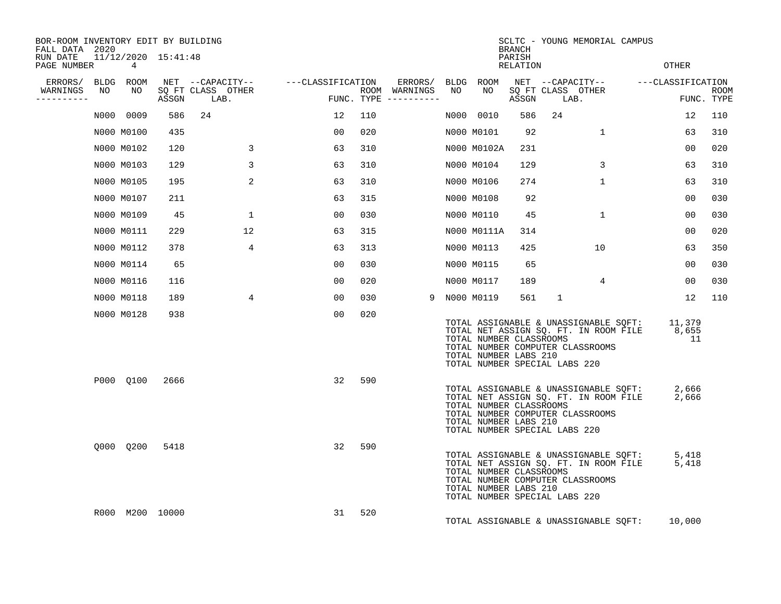| BOR-ROOM INVENTORY EDIT BY BUILDING<br>FALL DATA 2020 |                          |      |                                 |                                    |     |                                      |    |                                                                                   | BRANCH             |      | SCLTC - YOUNG MEMORIAL CAMPUS                                                                                      |                       |             |
|-------------------------------------------------------|--------------------------|------|---------------------------------|------------------------------------|-----|--------------------------------------|----|-----------------------------------------------------------------------------------|--------------------|------|--------------------------------------------------------------------------------------------------------------------|-----------------------|-------------|
| RUN DATE<br>PAGE NUMBER                               | 11/12/2020 15:41:48<br>4 |      |                                 |                                    |     |                                      |    |                                                                                   | PARISH<br>RELATION |      |                                                                                                                    | OTHER                 |             |
| ERRORS/ BLDG ROOM                                     |                          |      |                                 | NET --CAPACITY-- ---CLASSIFICATION |     | ERRORS/ BLDG ROOM                    |    |                                                                                   |                    |      | NET --CAPACITY-- ---CLASSIFICATION                                                                                 |                       |             |
| WARNINGS<br>NO<br>-----------                         | NO                       |      | SO FT CLASS OTHER<br>ASSGN LAB. | and the state of the               |     | ROOM WARNINGS<br>FUNC. TYPE $------$ | NO | NO.                                                                               | ASSGN              | LAB. | SO FT CLASS OTHER                                                                                                  | FUNC. TYPE            | <b>ROOM</b> |
|                                                       | N000 0009                | 586  | 24                              | 12                                 | 110 |                                      |    | N000 0010                                                                         | 586                | 24   |                                                                                                                    | 12                    | 110         |
|                                                       | N000 M0100               | 435  |                                 | 00                                 | 020 |                                      |    | N000 M0101                                                                        | 92                 |      | $\mathbf{1}$                                                                                                       | 63                    | 310         |
|                                                       | N000 M0102               | 120  |                                 | 63<br>3                            | 310 |                                      |    | N000 M0102A                                                                       | 231                |      |                                                                                                                    | 00                    | 020         |
|                                                       | N000 M0103               | 129  |                                 | 3<br>63                            | 310 |                                      |    | N000 M0104                                                                        | 129                |      | 3                                                                                                                  | 63                    | 310         |
|                                                       | N000 M0105               | 195  |                                 | 2<br>63                            | 310 |                                      |    | N000 M0106                                                                        | 274                |      | $\mathbf{1}$                                                                                                       | 63                    | 310         |
|                                                       | N000 M0107               | 211  |                                 | 63                                 | 315 |                                      |    | N000 M0108                                                                        | 92                 |      |                                                                                                                    | 00                    | 030         |
|                                                       | N000 M0109               | 45   |                                 | 0 <sub>0</sub><br>$\mathbf{1}$     | 030 |                                      |    | N000 M0110                                                                        | 45                 |      | $\mathbf{1}$                                                                                                       | 00                    | 030         |
|                                                       | N000 M0111               | 229  | 12                              | 63                                 | 315 |                                      |    | N000 M0111A                                                                       | 314                |      |                                                                                                                    | 0 <sub>0</sub>        | 020         |
|                                                       | N000 M0112               | 378  |                                 | $\overline{4}$<br>63               | 313 |                                      |    | N000 M0113                                                                        | 425                |      | 10                                                                                                                 | 63                    | 350         |
|                                                       | N000 M0114               | 65   |                                 | 00                                 | 030 |                                      |    | N000 M0115                                                                        | 65                 |      |                                                                                                                    | 00                    | 030         |
|                                                       | N000 M0116               | 116  |                                 | 0 <sub>0</sub>                     | 020 |                                      |    | N000 M0117                                                                        | 189                |      | $4^{\circ}$                                                                                                        | 00                    | 030         |
|                                                       | N000 M0118               | 189  |                                 | 4<br>00                            | 030 |                                      |    | 9 NOOO MO119                                                                      | 561                | 1    |                                                                                                                    | 12                    | 110         |
|                                                       | N000 M0128               | 938  |                                 | 00                                 | 020 |                                      |    | TOTAL NUMBER CLASSROOMS<br>TOTAL NUMBER LABS 210<br>TOTAL NUMBER SPECIAL LABS 220 |                    |      | TOTAL ASSIGNABLE & UNASSIGNABLE SQFT:<br>TOTAL NET ASSIGN SQ. FT. IN ROOM FILE<br>TOTAL NUMBER COMPUTER CLASSROOMS | 11,379<br>8,655<br>11 |             |
|                                                       | P000 0100                | 2666 |                                 | 32                                 | 590 |                                      |    | TOTAL NUMBER CLASSROOMS<br>TOTAL NUMBER LABS 210<br>TOTAL NUMBER SPECIAL LABS 220 |                    |      | TOTAL ASSIGNABLE & UNASSIGNABLE SQFT:<br>TOTAL NET ASSIGN SQ. FT. IN ROOM FILE<br>TOTAL NUMBER COMPUTER CLASSROOMS | 2,666<br>2,666        |             |
|                                                       | Q000 Q200                | 5418 |                                 | 32                                 | 590 |                                      |    | TOTAL NUMBER CLASSROOMS<br>TOTAL NUMBER LABS 210<br>TOTAL NUMBER SPECIAL LABS 220 |                    |      | TOTAL ASSIGNABLE & UNASSIGNABLE SQFT:<br>TOTAL NET ASSIGN SQ. FT. IN ROOM FILE<br>TOTAL NUMBER COMPUTER CLASSROOMS | 5,418<br>5,418        |             |
|                                                       | R000 M200 10000          |      |                                 | 31                                 | 520 |                                      |    |                                                                                   |                    |      | TOTAL ASSIGNABLE & UNASSIGNABLE SQFT:                                                                              | 10,000                |             |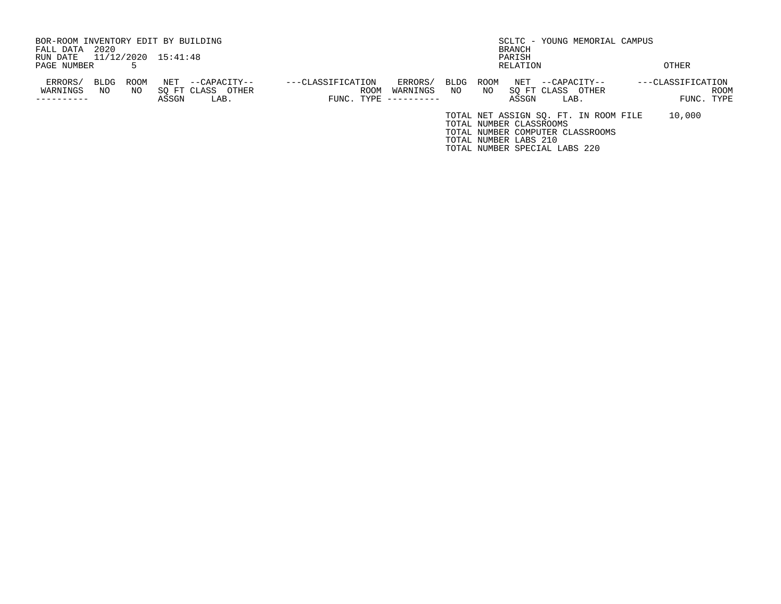| BOR-ROOM INVENTORY EDIT BY BUILDING |            |             |                     |                                           |                   |                    |                                    |            |             |                                                  | SCLTC - YOUNG MEMORIAL CAMPUS                                                                              |                                 |      |
|-------------------------------------|------------|-------------|---------------------|-------------------------------------------|-------------------|--------------------|------------------------------------|------------|-------------|--------------------------------------------------|------------------------------------------------------------------------------------------------------------|---------------------------------|------|
| FALL DATA                           | 2020       |             |                     |                                           |                   |                    |                                    |            |             | BRANCH                                           |                                                                                                            |                                 |      |
| RUN DATE                            |            |             | 11/12/2020 15:41:48 |                                           |                   |                    |                                    |            |             | PARISH                                           |                                                                                                            |                                 |      |
| PAGE NUMBER                         |            |             |                     |                                           |                   |                    |                                    |            |             | RELATION                                         |                                                                                                            | OTHER                           |      |
| ERRORS/<br>WARNINGS                 | BLDG<br>NO | ROOM<br>NO. | NET<br>ASSGN        | --CAPACITY--<br>SO FT CLASS OTHER<br>LAB. | ---CLASSIFICATION | ROOM<br>FUNC. TYPE | ERRORS/<br>WARNINGS<br>----------- | BLDG<br>NO | ROOM<br>NO. | NET<br>SO FT CLASS<br>ASSGN                      | --CAPACITY--<br>OTHER<br>LAB.                                                                              | ---CLASSIFICATION<br>FUNC. TYPE | ROOM |
|                                     |            |             |                     |                                           |                   |                    |                                    |            |             | TOTAL NUMBER CLASSROOMS<br>TOTAL NUMBER LABS 210 | TOTAL NET ASSIGN SQ. FT. IN ROOM FILE<br>TOTAL NUMBER COMPUTER CLASSROOMS<br>TOTAL NUMBER SPECIAL LABS 220 | 10,000                          |      |